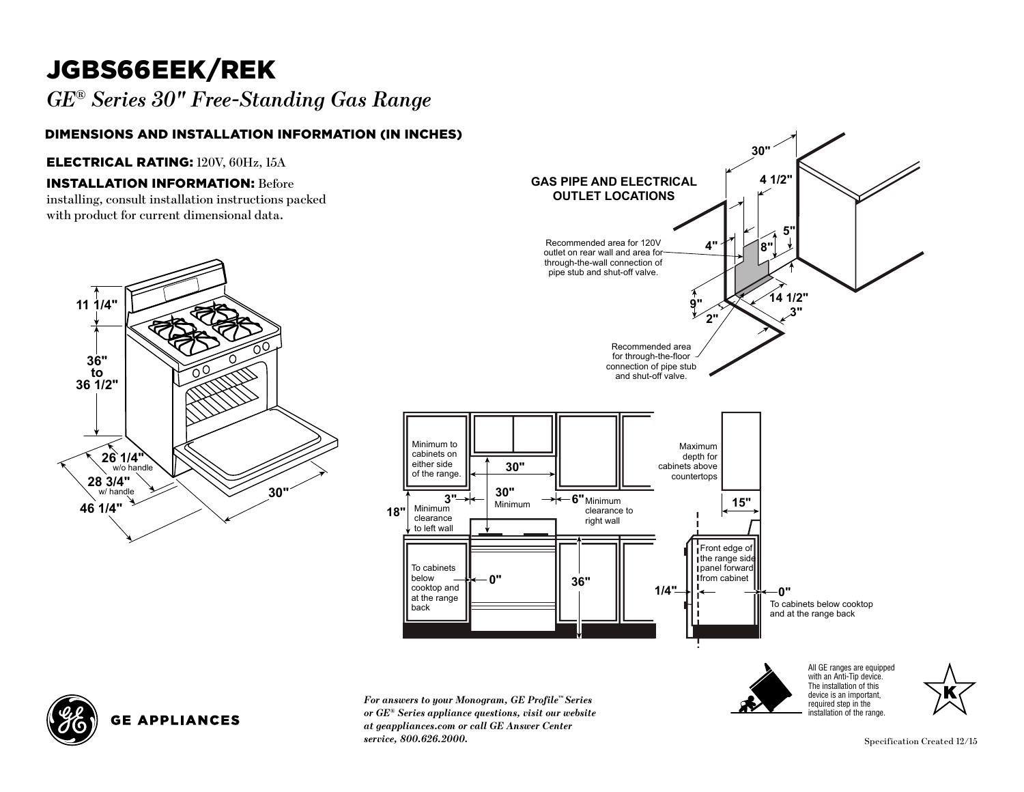# JGBS66EEK/REK

*GE® Series 30" Free-Standing Gas Range*  **SINGLE OVER**  $\log$ **e** over the contract of  $\log$ 

#### Dimensions and Installation Information (in inches)

#### Electrical Rating: 120V, 60Hz, 15A

### **INSTALLATION INFORMATION: Before**

installing, consult installation instructions packed with product for current dimensional data.



**GE APPLIANCES** 



*For answers to your Monogram, GE Profile™ Series or GE® Series appliance questions, visit our website at geappliances.com or call GE Answer Center* **0" 36"** *service, 800.626.2000.*

**18"**

 $\blacksquare$ 

**30"**